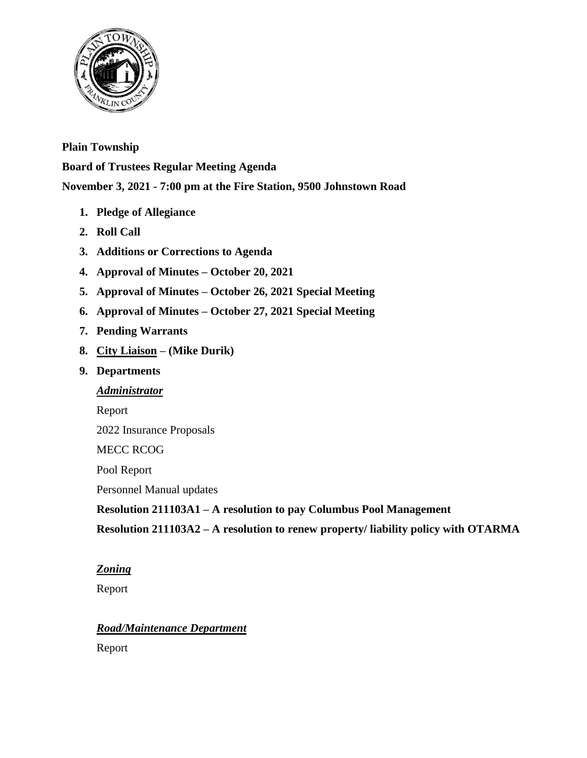

# **Plain Township**

**Board of Trustees Regular Meeting Agenda**

**November 3, 2021 - 7:00 pm at the Fire Station, 9500 Johnstown Road**

- **1. Pledge of Allegiance**
- **2. Roll Call**
- **3. Additions or Corrections to Agenda**
- **4. Approval of Minutes – October 20, 2021**
- **5. Approval of Minutes – October 26, 2021 Special Meeting**
- **6. Approval of Minutes – October 27, 2021 Special Meeting**
- **7. Pending Warrants**
- **8. City Liaison – (Mike Durik)**

# **9. Departments**

# *Administrator*

Report

2022 Insurance Proposals

MECC RCOG

Pool Report

Personnel Manual updates

**Resolution 211103A1 – A resolution to pay Columbus Pool Management** 

**Resolution 211103A2 – A resolution to renew property/ liability policy with OTARMA**

# *Zoning*

Report

# *Road/Maintenance Department*

Report